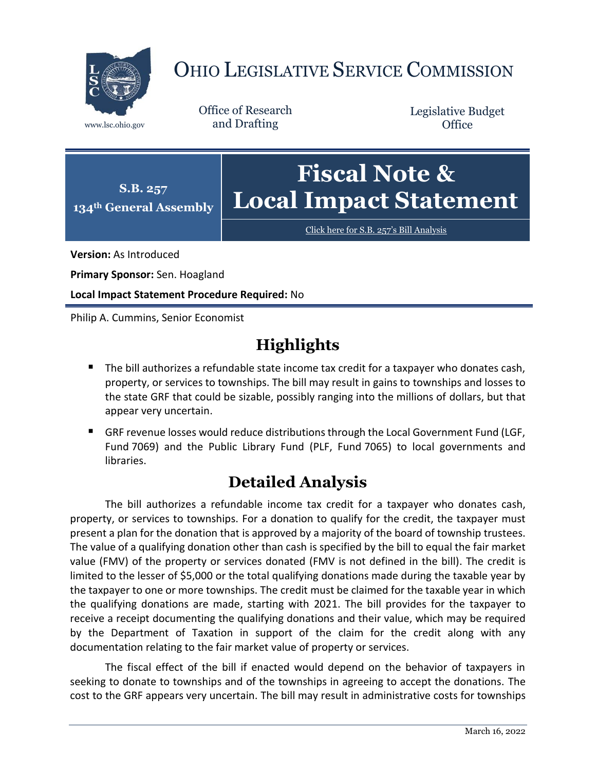

## OHIO LEGISLATIVE SERVICE COMMISSION

Office of Research www.lsc.ohio.gov and Drafting

Legislative Budget **Office** 



[Click here for S.B. 257](https://www.legislature.ohio.gov/legislation/legislation-documents?id=GA134-SB-257)'s Bill Analysis

**Version:** As Introduced

**Primary Sponsor:** Sen. Hoagland

**Local Impact Statement Procedure Required:** No

Philip A. Cummins, Senior Economist

## **Highlights**

- The bill authorizes a refundable state income tax credit for a taxpayer who donates cash, property, or services to townships. The bill may result in gains to townships and losses to the state GRF that could be sizable, possibly ranging into the millions of dollars, but that appear very uncertain.
- GRF revenue losses would reduce distributions through the Local Government Fund (LGF, Fund 7069) and the Public Library Fund (PLF, Fund 7065) to local governments and libraries.

## **Detailed Analysis**

The bill authorizes a refundable income tax credit for a taxpayer who donates cash, property, or services to townships. For a donation to qualify for the credit, the taxpayer must present a plan for the donation that is approved by a majority of the board of township trustees. The value of a qualifying donation other than cash is specified by the bill to equal the fair market value (FMV) of the property or services donated (FMV is not defined in the bill). The credit is limited to the lesser of \$5,000 or the total qualifying donations made during the taxable year by the taxpayer to one or more townships. The credit must be claimed for the taxable year in which the qualifying donations are made, starting with 2021. The bill provides for the taxpayer to receive a receipt documenting the qualifying donations and their value, which may be required by the Department of Taxation in support of the claim for the credit along with any documentation relating to the fair market value of property or services.

The fiscal effect of the bill if enacted would depend on the behavior of taxpayers in seeking to donate to townships and of the townships in agreeing to accept the donations. The cost to the GRF appears very uncertain. The bill may result in administrative costs for townships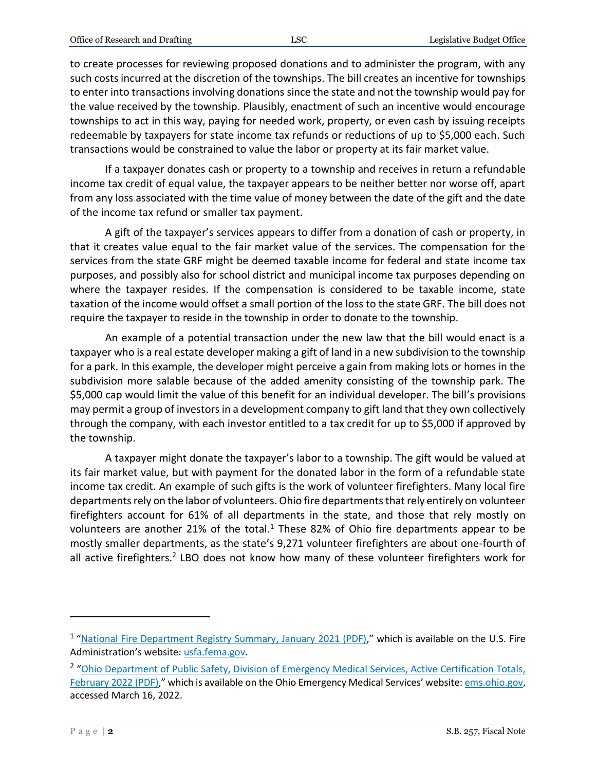to create processes for reviewing proposed donations and to administer the program, with any such costs incurred at the discretion of the townships. The bill creates an incentive for townships to enter into transactions involving donations since the state and not the township would pay for the value received by the township. Plausibly, enactment of such an incentive would encourage townships to act in this way, paying for needed work, property, or even cash by issuing receipts redeemable by taxpayers for state income tax refunds or reductions of up to \$5,000 each. Such transactions would be constrained to value the labor or property at its fair market value.

If a taxpayer donates cash or property to a township and receives in return a refundable income tax credit of equal value, the taxpayer appears to be neither better nor worse off, apart from any loss associated with the time value of money between the date of the gift and the date of the income tax refund or smaller tax payment.

A gift of the taxpayer's services appears to differ from a donation of cash or property, in that it creates value equal to the fair market value of the services. The compensation for the services from the state GRF might be deemed taxable income for federal and state income tax purposes, and possibly also for school district and municipal income tax purposes depending on where the taxpayer resides. If the compensation is considered to be taxable income, state taxation of the income would offset a small portion of the loss to the state GRF. The bill does not require the taxpayer to reside in the township in order to donate to the township.

An example of a potential transaction under the new law that the bill would enact is a taxpayer who is a real estate developer making a gift of land in a new subdivision to the township for a park. In this example, the developer might perceive a gain from making lots or homes in the subdivision more salable because of the added amenity consisting of the township park. The \$5,000 cap would limit the value of this benefit for an individual developer. The bill's provisions may permit a group of investors in a development company to gift land that they own collectively through the company, with each investor entitled to a tax credit for up to \$5,000 if approved by the township.

A taxpayer might donate the taxpayer's labor to a township. The gift would be valued at its fair market value, but with payment for the donated labor in the form of a refundable state income tax credit. An example of such gifts is the work of volunteer firefighters. Many local fire departments rely on the labor of volunteers. Ohio fire departments that rely entirely on volunteer firefighters account for 61% of all departments in the state, and those that rely mostly on volunteers are another 21% of the total.<sup>1</sup> These 82% of Ohio fire departments appear to be mostly smaller departments, as the state's 9,271 volunteer firefighters are about one-fourth of all active firefighters.<sup>2</sup> LBO does not know how many of these volunteer firefighters work for

 $\overline{a}$ 

<sup>&</sup>lt;sup>1</sup> "National Fire Department [Registry Summary, January 2021 \(PDF\),](https://www.usfa.fema.gov/downloads/pdf/registry-summary-2021.pdf)" which is available on the U.S. Fire Administration's website[: usfa.fema.gov.](https://www.usfa.fema.gov/)

<sup>&</sup>lt;sup>2</sup> "Ohio Department of Public Safety, Division of Emergency Medical Services, Active Certification Totals, [February 2022](https://www.ems.ohio.gov/links/ems_cert_total.pdf) (PDF)," which is available on the Ohio Emergency Medical Services' website[: ems.ohio.gov,](https://www.ems.ohio.gov/#gsc.tab=0) accessed March 16, 2022.